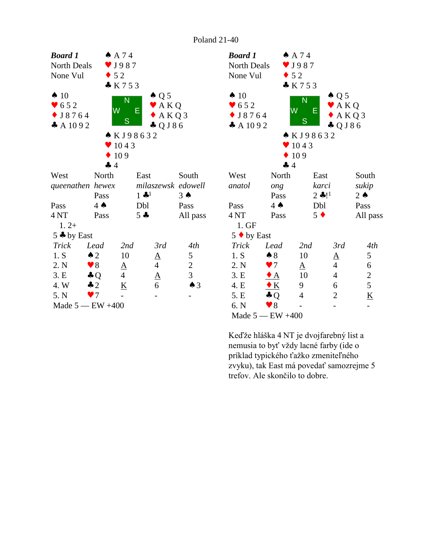



nemusia to byť vždy lacné farby (ide o príklad typického ťažko zmeniteľného zvyku), tak East má povedať samozrejme 5 trefov. Ale skončilo to dobre.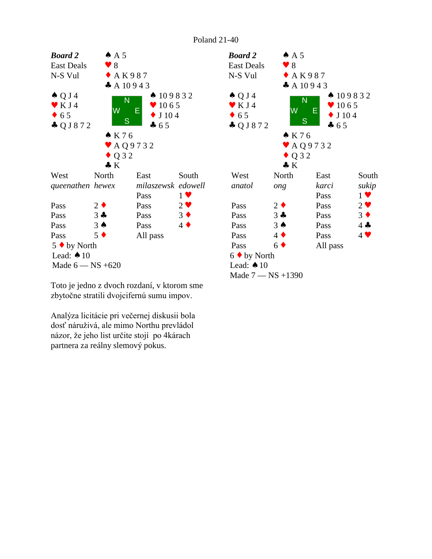

Toto je jedno z dvoch rozdaní, v ktorom sme zbytočne stratili dvojcifernú sumu impov.

Analýza licitácie pri večernej diskusii bola dosť náruživá, ale mimo Northu prevládol názor, že jeho list určite stojí po 4kárach partnera za reálny slemový pokus.

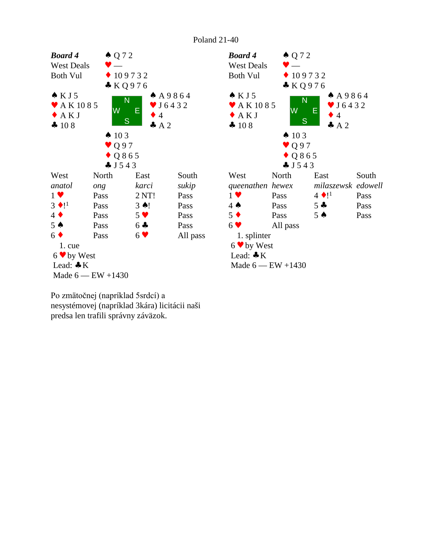



Po zmätočnej (napríklad 5srdcí) a nesystémovej (napríklad 3kára) licitácii naši predsa len trafili správny záväzok.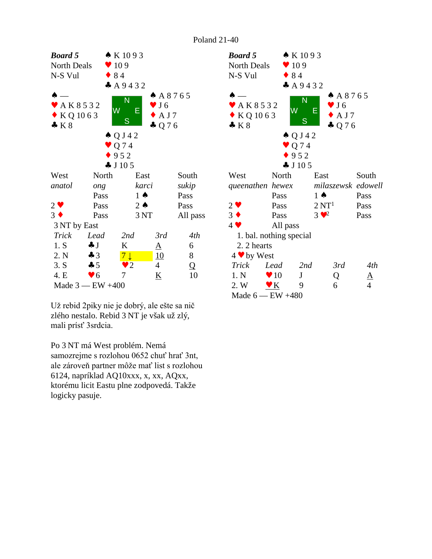

Už rebid 2piky nie je dobrý, ale ešte sa nič mali prísť 3srdcia. zlého nestalo. Rebid 3 NT je však už zlý,<br>mali prísť 3srdcia.<br>Po 3 NT má West problém. Nemá

samozrejme s rozlohou 0652 chuť hrať 3nt, ale zároveň partner môže mať list s rozlohou 6124, napríklad AQ10xxx, x, xx, AQxx, ktorému licit Eastu plne zodpovedá. Takže logicky pasuje.



Poland 21-40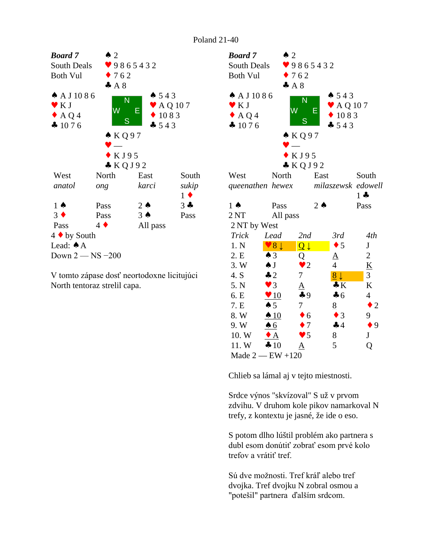

V tomto zápase dosť neortodoxne licitujúci North tentoraz strelil capa.

| <b>Board</b> 7                      | $\triangle$ 2          |                                   |                                                        |                |
|-------------------------------------|------------------------|-----------------------------------|--------------------------------------------------------|----------------|
| South Deals                         |                        | 9865432                           |                                                        |                |
| <b>Both Vul</b>                     |                        | $\bullet$ 762                     |                                                        |                |
|                                     | A8                     |                                   |                                                        |                |
| $A$ A J 1086<br>K J<br>AQ4<br>41076 | W                      | N<br>Е<br>S<br>$\triangle$ KQ97   | 4543<br>$\blacktriangleright$ AQ 107<br>1083<br>$-543$ |                |
|                                     |                        | KJ95                              |                                                        |                |
| West                                | North                  | KQJ92<br>East                     |                                                        | South          |
|                                     |                        |                                   | milaszewsk edowell                                     |                |
| queenathen hewex                    |                        |                                   |                                                        | $1 -$          |
| $1 \spadesuit$                      | Pass                   | $2 \triangle$                     |                                                        | Pass           |
| 2NT                                 | All pass               |                                   |                                                        |                |
| 2 NT by West                        |                        |                                   |                                                        |                |
| <b>Trick</b>                        | Lead                   | 2nd                               | 3rd                                                    | 4th            |
| 1. N                                | $\vee 8 \downarrow$    |                                   | $\bullet$ 5                                            | $\mathbf{J}$   |
| 2.E                                 | $\triangle$ 3          | $\overline{\mathsf{Q}}\downarrow$ |                                                        | 2              |
| 3. W                                | $\spadesuit$ J         | Q<br>$\bullet$ 2                  | <u>A</u><br>4                                          | K              |
| 4. S                                | $\clubsuit$ 2          | 7                                 | $\frac{8}{5}$                                          | 3              |
| 5. N                                | $\blacktriangledown$ 3 |                                   | $\clubsuit K$                                          | $\bf K$        |
|                                     |                        | $\underline{A}$<br>49             | $\clubsuit$ 6                                          | $\overline{4}$ |
| 6. E                                | $\sqrt{10}$            | 7                                 |                                                        |                |
| 7. E                                | $\spadesuit 5$         |                                   | 8                                                      | $\bullet$ 2    |
| 8. W                                | $\triangle$ 10         | $\bullet$ 6                       | $\bullet$ 3                                            | 9              |
| 9. W                                | $\triangle 6$          | $\bullet$ 7                       | 44                                                     | $\bullet$ 9    |
| 10. W                               | $\bullet$ A            | $\bullet$ 5                       | 8                                                      | J              |
| 11.W                                | 410                    |                                   | 5                                                      | Q              |
| Made $2$ - EW +120                  |                        |                                   |                                                        |                |

Chlieb sa lámal aj v tejto miestnosti.

Srdce výnos "skvízoval" S už v prvom zdvihu. V druhom kole pikov namarkoval N trefy, z kontextu je jasné, že ide o eso.

S potom dlho lúštil problém ako partnera s dubl esom donútiť zobrať esom prvé kolo trefov a vrátiť tref.

Sú dve možnosti. Tref kráľ alebo tref dvojka. Tref dvojku N zobral osmou a "potešil" partnera ďalším srdcom.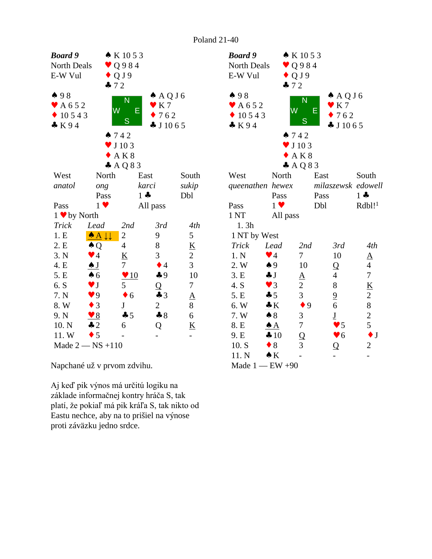| Board 9                    |                               | $\bullet K1053$             |                      |                                      | Boc             |
|----------------------------|-------------------------------|-----------------------------|----------------------|--------------------------------------|-----------------|
| North Deals                |                               | $\vee$ Q984                 |                      |                                      | N <sub>O1</sub> |
| E-W Vul                    | $-72$                         | $\bullet$ QJ9               |                      |                                      | $E-V$           |
| 498                        |                               | N                           | $A \land Q \cup 6$   |                                      | $\clubsuit$     |
| $\blacktriangleright$ A652 |                               | W                           | $\bullet$ K 7        |                                      | $\prime$ /      |
| 10543                      |                               | E                           | 762                  |                                      |                 |
| K94                        |                               | S                           | $\clubsuit$ J 10 6 5 |                                      | $\clubsuit$ ]   |
|                            |                               | 742                         |                      |                                      |                 |
|                            |                               | $\blacktriangledown$ J 10 3 |                      |                                      |                 |
|                            |                               | AK8                         |                      |                                      |                 |
|                            |                               | $A$ AQ83                    |                      |                                      |                 |
| West                       | North                         |                             | East                 | South                                | We              |
| anatol                     | ong                           |                             | karci                | sukip                                | que             |
|                            | Pass                          | $1 -$                       |                      | Dbl                                  |                 |
| Pass                       | $1 \vee$                      |                             | All pass             |                                      | Pas             |
| $1 \bullet$ by North       |                               |                             |                      |                                      | 1 <sub>N</sub>  |
| Trick                      | Lead                          | 2nd                         | 3rd                  | 4th                                  | $\mathbf{1}$    |
| 1.E                        | $\triangle$ $\perp\downarrow$ | $\overline{c}$              | 9                    | 5                                    | 1 <sub>l</sub>  |
| 2. E                       | $\clubsuit Q$                 | $\overline{4}$              | 8                    | $\underline{\underline{\mathsf{K}}}$ | Tr              |
| 3. N                       | $\blacktriangledown$ 4        | $\underline{K}$             | 3                    | $\overline{2}$                       | 1.              |
| 4. E                       | $\clubsuit$ J                 | $\tau$                      | $\bullet$ 4          | 3                                    | 2.              |
| 5. E                       | $\clubsuit$ 6                 | $\sqrt{10}$                 | $\clubsuit$ 9        | 10                                   | 3.1             |
| 6. S                       | $\blacktriangledown$ J        | 5                           | Q                    | 7                                    | 4.              |
| 7. N                       | $\blacktriangledown 9$        | $\bullet$ 6                 | $\clubsuit$ 3        | ${\underline{\rm A}}$                | 5.              |
| 8. W                       | $\bullet$ 3                   | $\underline{\mathbf{J}}$    | $\overline{2}$       | 8                                    | 6.              |
| 9. N                       | $\bullet$ 8                   | 45                          | $\clubsuit 8$        | $\epsilon$                           | 7.              |
| 10. N                      | $\clubsuit$ 2                 | 6                           | Q                    | $\underline{\mathbf{K}}$             | 8.1             |
| 11.W                       | $\bullet$ 5                   |                             |                      |                                      | 9.1             |
|                            | Made $2$ $-$ NS +110          |                             |                      |                                      | 10              |

Napchané už v prvom zdvihu.

Aj keď pik výnos má určitú logiku na základe informačnej kontry hráča S, tak platí, že pokiaľ má pik kráľa S, tak nikto od Eastu nechce, aby na to prišiel na výnose proti záväzku jedno srdce.

| <b>Board</b> 9<br>North Deals<br>E-W Vul | $\bullet$ QJ9<br>$-72$ | $\bullet K1053$<br>$\vee$ Q984 |                                  |                                   |
|------------------------------------------|------------------------|--------------------------------|----------------------------------|-----------------------------------|
| 498                                      |                        | N                              | $A \bigcirc A$                   |                                   |
| $\blacktriangleright$ A652               | W                      | Ε                              | $\mathbf{v}$ K 7                 |                                   |
| $\bullet$ 10543                          |                        | S                              | 762                              |                                   |
| K94                                      |                        |                                | $\clubsuit$ J 10 6 5             |                                   |
|                                          | 742                    |                                |                                  |                                   |
|                                          |                        | $\blacktriangledown$ J 10 3    |                                  |                                   |
|                                          |                        | AK8                            |                                  |                                   |
|                                          |                        | AQQ83                          |                                  |                                   |
| West                                     | North                  | East                           |                                  | South                             |
| queenathen hewex                         |                        |                                |                                  | milaszewsk edowell                |
|                                          | Pass                   | Pass                           |                                  | $1 -$                             |
| Pass                                     | $1 \vee$               | Dbl                            |                                  | $Rdbl!$ <sup>1</sup>              |
| 1 <sub>NT</sub>                          | All pass               |                                |                                  |                                   |
| 1.3h<br>1 NT by West                     |                        |                                |                                  |                                   |
| Trick                                    | Lead                   | 2nd                            | 3rd                              | 4th                               |
| 1. N                                     | $\blacktriangledown$ 4 | 7                              | 10                               |                                   |
| 2. W                                     | $\clubsuit$ 9          | 10                             |                                  | $\underline{A}$<br>$\overline{4}$ |
| 3.E                                      | $\clubsuit$ J          |                                | $\overline{Q}$<br>$\overline{4}$ | $\overline{7}$                    |
| 4. S                                     | $\blacktriangledown$ 3 |                                | 8                                | $\underline{\mathbf{K}}$          |
| 5. E                                     | $\clubsuit$ 5          | $\frac{A}{2}$<br>3             | $\overline{6}$                   | $\overline{c}$                    |
| 6. W                                     | $\cdot K$              | $\bullet$ 9                    | 6                                | 8                                 |
| 7. W                                     | $\clubsuit 8$          | 3                              | $\underline{\mathbf{J}}$         |                                   |
| 8. E                                     | $\triangle A$          | $\overline{7}$                 | $\blacktriangledown$ 5           | $rac{2}{5}$                       |
| 9. E                                     | $\clubsuit 10$         | $\overline{Q}$                 | $\blacktriangledown 6$           | $\bullet$ J                       |
| 10. S                                    | $\bullet$ 8            | 3                              | Q                                | $\overline{c}$                    |
| 11. N                                    | $\triangle K$          |                                |                                  |                                   |
| Made $1 - EW +90$                        |                        |                                |                                  |                                   |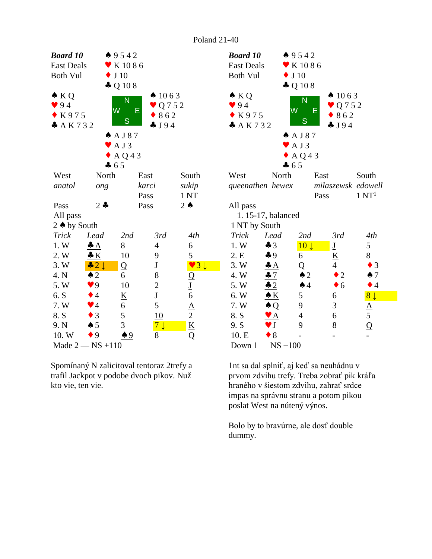

Spomínaný N zalicitoval tentoraz 2trefy a trafil Jackpot v podobe dvoch pikov. Nuž kto vie, ten vie.



1nt sa dal splniť, aj keď sa neuhádnu v prvom zdvihu trefy. Treba zobrať pik kráľa hraného v šiestom zdvihu, zahrať srdce impas na správnu stranu a potom pikou poslat West na nútený výnos.

Bolo by to bravúrne, ale dosť double dummy.

Poland 21-40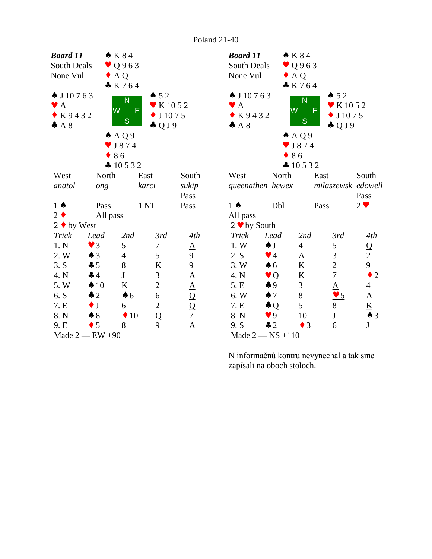

| <b>Board 11</b>                     |                        | $\bullet$ K 8 4          |                                |                          |  |
|-------------------------------------|------------------------|--------------------------|--------------------------------|--------------------------|--|
| South Deals                         |                        | $\vee$ Q963              |                                |                          |  |
| None Vul                            | $\bullet$ AQ           |                          |                                |                          |  |
|                                     |                        | K764                     |                                |                          |  |
| $\spadesuit$ J 10 7 6 3             |                        |                          | $\bullet 52$                   |                          |  |
| $\blacktriangleright$ A             |                        | N                        | $\blacktriangleright$ K 10 5 2 |                          |  |
| $\bullet$ K9432                     | W                      | E                        | $\bullet$ J 1075               |                          |  |
| A8                                  |                        | S                        | $\clubsuit$ QJ9                |                          |  |
|                                     |                        | $A \land Q$ 9            |                                |                          |  |
|                                     |                        | $\bullet$ J874           |                                |                          |  |
|                                     | $\bullet$ 86           |                          |                                |                          |  |
|                                     |                        | $\clubsuit$ 10532        |                                |                          |  |
| West                                | North                  | East                     |                                | South                    |  |
|                                     |                        |                          |                                |                          |  |
| queenathen hewex milaszewsk edowell |                        |                          |                                |                          |  |
|                                     |                        |                          |                                | Pass                     |  |
| $1 \spadesuit$                      | Dbl                    | Pass                     |                                | $2 \vee$                 |  |
| All pass                            |                        |                          |                                |                          |  |
| $2 \cdot by South$                  |                        |                          |                                |                          |  |
| <b>Trick</b>                        | Lead                   | 2nd                      | 3rd                            | 4th                      |  |
| 1. W                                | $\triangle$ J          | $\overline{4}$           | 5                              | Q                        |  |
| 2. S                                | $\blacktriangledown$ 4 | $\underline{A}$          | 3                              | $\overline{c}$           |  |
| 3. W                                | $\clubsuit$ 6          | $\underline{K}$          | $\overline{c}$                 | 9                        |  |
| 4. N                                | $\vee$ Q               | $\underline{\mathbf{K}}$ | $\overline{7}$                 | $\bullet$ 2              |  |
| 5. E                                | $\clubsuit$ 9          | 3                        |                                | $\overline{4}$           |  |
| 6. W                                | $\spadesuit$ 7         | 8                        | 5                              | A                        |  |
| 7. E                                | $\clubsuit$ Q          | 5                        | $\frac{A}{\bullet}$            | $\underline{\mathbf{K}}$ |  |
| 8. N                                | 9 <sup>q</sup>         | 10                       | $\underline{\mathbf{J}}$       | $\triangle$ 3            |  |
| 9. S                                | $\clubsuit$ 2          | $\bullet$ 3              | 6                              | $\underline{\mathbf{J}}$ |  |
| Made $2$ — NS +110                  |                        |                          |                                |                          |  |

N informačnú kontru nevynechal a tak sme zapísali na oboch stoloch.

Poland 21-40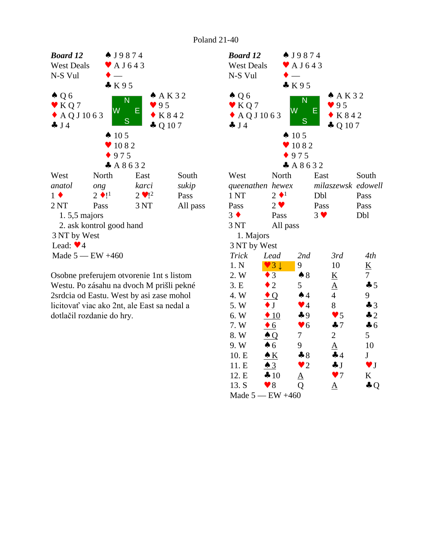

Osobne preferujem otvorenie 1nt s listom Westu. Po zásahu na dvoch M prišli pekné 2srdcia od Eastu. West by asi zase mohol licitovať viac ako 2nt, ale East sa nedal a dotlačil rozdanie do hry.

| <b>Board 12</b>     |                        | $\bullet$ J9874             |                          |                        |  |
|---------------------|------------------------|-----------------------------|--------------------------|------------------------|--|
| <b>West Deals</b>   |                        | $\blacktriangleright$ AJ643 |                          |                        |  |
| N-S Vul             |                        |                             |                          |                        |  |
|                     |                        | K95                         |                          |                        |  |
| $\triangle Q6$      |                        |                             | A K 32                   |                        |  |
| $\bullet$ KQ7       |                        | N                           | 95                       |                        |  |
| $\triangle$ AQJ1063 |                        | W<br>Е                      | $\bullet$ K 8 4 2        |                        |  |
| $\clubsuit$ J4      |                        | S                           | $\clubsuit$ Q 107        |                        |  |
|                     |                        | $\spadesuit$ 105            |                          |                        |  |
|                     |                        | 1082                        |                          |                        |  |
|                     |                        | 975                         |                          |                        |  |
|                     |                        | A8632                       |                          |                        |  |
| West                | North                  |                             | East                     | South                  |  |
| queenathen hewex    |                        |                             | milaszewsk edowell       |                        |  |
| 1 <sub>NT</sub>     | $2 \bullet 1$          |                             | Dbl                      | Pass                   |  |
| Pass                | $2 \vee$               |                             | Pass                     | Pass                   |  |
| $3 \bullet$         | Pass                   |                             | $3 \vee$                 | Dbl                    |  |
| 3 NT                | All pass               |                             |                          |                        |  |
| 1. Majors           |                        |                             |                          |                        |  |
| 3 NT by West        |                        |                             |                          |                        |  |
| <b>Trick</b>        | Lead                   | 2nd                         | 3rd                      | 4th                    |  |
| 1. N                | 3 <sup>1</sup>         | 9                           | 10                       | K                      |  |
| 2. W                | 3                      | $\clubsuit 8$               | $\underline{\mathbf{K}}$ | $\tau$                 |  |
| 3. E                | $\overline{2}$         | 5                           | $\underline{A}$          | 45                     |  |
| 4. W                | $\bullet$ Q            | $\spadesuit$ 4              | $\overline{4}$           | 9                      |  |
| 5. W                | $\bullet$ J            | $\blacktriangledown$ 4      | 8                        | $\clubsuit$ 3          |  |
| 6. W                | $\triangle$ 10         | $\clubsuit$ 9               | $\blacktriangledown$ 5   | $\clubsuit$ 2          |  |
| 7. W                | $\bullet$ 6            | $\blacktriangledown 6$      | 47                       | $\clubsuit$ 6          |  |
| 8. W                | $\triangle Q$          | 7                           | $\overline{2}$           | 5                      |  |
| 9. W                | $\clubsuit$ 6          | 9                           | $\overline{\mathbf{A}}$  | 10                     |  |
| 10. E               | $\bullet K$            | $\clubsuit 8$               | $\clubsuit$ 4            | J                      |  |
| 11. E               | $\triangle$ 3          | $\bullet$ 2                 | $\clubsuit$ J            | $\blacktriangledown$ J |  |
| 12. E               | 410                    | <u>A</u>                    | $\blacktriangledown$     | K                      |  |
| 13. S               | $\blacktriangledown 8$ | Q                           | ${\underline{\rm A}}$    | $\clubsuit Q$          |  |
|                     | Made $5 - EW +460$     |                             |                          |                        |  |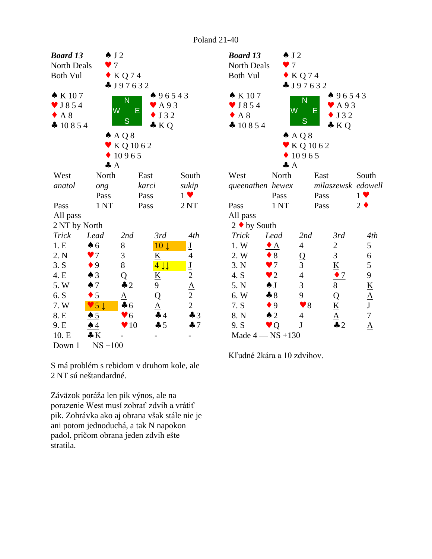| Board 13          |                          | $\triangle$ J 2       |                                           |                          | <b>Boa</b>               |
|-------------------|--------------------------|-----------------------|-------------------------------------------|--------------------------|--------------------------|
| North Deals       |                          | $\tau$                |                                           |                          | Nor                      |
| <b>Both Vul</b>   |                          | $\bullet$ KQ74        |                                           |                          | Bot                      |
|                   |                          | J97632                |                                           |                          |                          |
| $\bullet$ K 107   |                          | Ñ                     | 496543                                    |                          | $\bullet$ F              |
| $\bullet$ J854    |                          | $\overline{\text{W}}$ | A 9 3<br>Ε                                |                          | $\blacktriangledown$ J   |
| A 8               |                          | S                     | J 3 2                                     |                          | $\overline{\mathcal{L}}$ |
| $\clubsuit$ 10854 |                          |                       | $\bullet$ KQ                              |                          | $\clubsuit$ 1            |
|                   |                          | $A \land Q \$         |                                           |                          |                          |
|                   |                          | $\bullet$ KQ 1062     |                                           |                          |                          |
|                   |                          | 10965                 |                                           |                          |                          |
|                   |                          | $\clubsuit$ A         |                                           |                          |                          |
| West              | North                    |                       | East                                      | South                    | We:                      |
| anatol            | ong                      |                       | karci                                     | sukip                    | que                      |
|                   | Pass                     |                       | Pass                                      | $1 \vee$                 |                          |
| Pass              | 1 <sub>NT</sub>          |                       | Pass                                      | 2NT                      | Pas:                     |
| All pass          |                          |                       |                                           |                          | All                      |
| 2 NT by North     |                          |                       |                                           |                          | $2 \triangleleft$        |
| <b>Trick</b>      | Lead                     | 2nd                   | 3rd                                       | 4th                      | Tri                      |
| 1.E               | $\clubsuit$ 6            | 8                     | 10 <sub>1</sub>                           | $\underline{\mathbf{J}}$ | 1.                       |
| 2. N              | $\blacktriangledown$     | 3                     | K                                         | $\overline{4}$           | 2.                       |
| 3. S              | $\bullet$ 9              | 8                     | $4 \downarrow \downarrow$                 | $\underline{\mathbf{J}}$ | 3.1                      |
| 4. E              | $\triangle$ 3            | Q                     | K                                         | $\overline{c}$           | 4.                       |
| 5. W              | $\spadesuit$ 7           | $\clubsuit$ 2         | 9                                         |                          | 5.                       |
| 6. S              | $\bullet$ 5              | $\underline{A}$       | Q                                         | $rac{A}{2}$              | 6.                       |
| 7. W              | $\overline{5}\downarrow$ | $\clubsuit$ 6         | $\underline{A}$                           | $\overline{c}$           | 7.                       |
| 8. E              | $\spadesuit$ 5           | $\bullet$ 6           | 44                                        | $\clubsuit$ 3            | 8.1                      |
| 9. E              | $\clubsuit$ 4            | 10                    | $-5$                                      | 47                       | 9.3                      |
| 10. E             | $\clubsuit K$            |                       |                                           |                          | $M\varepsilon$           |
|                   | Down $1 - NS - 100$      |                       |                                           |                          |                          |
|                   |                          |                       |                                           |                          | Kľu                      |
|                   |                          |                       | S má problém s rebidom v druhom kole, ale |                          |                          |
|                   | 2 NT sú neštandardné.    |                       |                                           |                          |                          |
|                   |                          |                       |                                           |                          |                          |
|                   |                          |                       |                                           |                          |                          |

Záväzok poráža len pik výnos, ale na porazenie West musí zobrať zdvih a vrátiť pik. Zohrávka ako aj obrana však stále nie je ani potom jednoduchá, a tak N napokon padol, pričom obrana jeden zdvih ešte stratila.

| <b>Board 13</b><br><b>North Deals</b>                                     | $\triangle$ J 2<br>$\bullet$ 7 |                                      |                                                            |                          |  |
|---------------------------------------------------------------------------|--------------------------------|--------------------------------------|------------------------------------------------------------|--------------------------|--|
| <b>Both Vul</b>                                                           |                                | $\bullet$ KQ74<br>$\clubsuit$ J97632 |                                                            |                          |  |
| $\bullet$ K 107<br>$\bullet$ J854<br>$\triangle$ A 8<br>$\clubsuit$ 10854 | W                              | N<br>Е<br>S<br>$A \land Q \$         | 496543<br>$\blacktriangleright$ A93<br>J32<br>$\bullet$ KQ |                          |  |
|                                                                           | $\clubsuit$ A                  | $\bullet$ KQ 1062<br>10965           |                                                            |                          |  |
| West                                                                      | North                          | East                                 |                                                            | South                    |  |
| queenathen hewex                                                          |                                |                                      |                                                            | milaszewsk edowell       |  |
|                                                                           | Pass                           | Pass                                 |                                                            | $1 \vee$                 |  |
| Pass                                                                      | 1 <sub>NT</sub>                | Pass                                 |                                                            | $2 \bullet$              |  |
| All pass                                                                  |                                |                                      |                                                            |                          |  |
| $2 \cdot by South$                                                        |                                |                                      |                                                            |                          |  |
| <b>Trick</b>                                                              | Lead                           | 2nd                                  | 3rd                                                        | 4th                      |  |
| 1. W                                                                      | $\bullet$ A                    | $\overline{4}$                       | $\overline{c}$                                             | 5                        |  |
| 2. W                                                                      | $\bullet$ 8                    | $\overline{Q}$                       | 3                                                          | 6                        |  |
| 3. N                                                                      | $\blacktriangledown$           | 3                                    | $\underline{K}$                                            | 5                        |  |
| 4. S                                                                      | $\bullet$ 2                    | $\overline{4}$                       | $\bullet$ 7                                                | 9                        |  |
| 5. N                                                                      | $\triangle$ J                  | 3                                    | 8                                                          | $\underline{\mathbf{K}}$ |  |
| 6. W                                                                      | $\clubsuit 8$                  | 9                                    |                                                            | $\underline{A}$          |  |
| 7. S                                                                      | $\bullet$ 9                    | $\blacktriangledown 8$               | $\frac{Q}{K}$                                              | $\mathbf{J}$             |  |
| 8. N                                                                      | $\triangle$ 2                  | 4                                    | $\overline{\mathbf{A}}$                                    | $\overline{7}$           |  |
| 9. S                                                                      | $\blacktriangledown Q$         | J                                    | $\clubsuit$ 2                                              | $\underline{A}$          |  |
| Made $4 - NS + 130$                                                       |                                |                                      |                                                            |                          |  |

Kľudné 2kára a 10 zdvihov.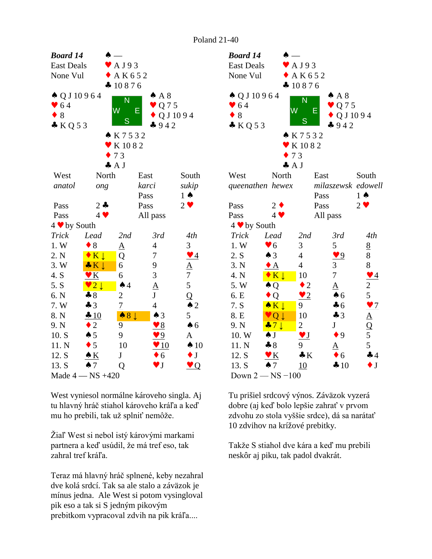| <b>Board 14</b><br><b>East Deals</b><br>None Vul   |                                      | $\blacktriangleright$ AJ93<br>$+AK652$                                               |                                       |                               | <b>Boar</b><br>East<br>None                                |
|----------------------------------------------------|--------------------------------------|--------------------------------------------------------------------------------------|---------------------------------------|-------------------------------|------------------------------------------------------------|
| $\triangle Q$ J 10964<br>$\bullet$ 64<br>8<br>KQ53 |                                      | 410876<br>N<br>$\overline{\mathsf{W}}$<br>S<br>K7532<br>$\blacktriangleright$ K 1082 | AA8<br>Q 7 5<br>Е<br>$-942$           | Q J 10 9 4                    | $\clubsuit Q$<br>$\bullet$ 6<br>$\bullet$ 8<br>$\bullet K$ |
|                                                    |                                      | 73                                                                                   |                                       |                               |                                                            |
| West<br>anatol                                     | North<br>ong                         | $\clubsuit$ A J                                                                      | East<br>karci                         | South<br>sukip                | West<br>quee                                               |
| Pass<br>Pass                                       | $2 - 1$<br>$4$ $\blacktriangledown$  |                                                                                      | Pass<br>Pass<br>All pass              | $1 \spadesuit$<br>$2 \bullet$ | Pass<br>Pass                                               |
| 4 v by South                                       |                                      |                                                                                      |                                       |                               | $4 \vee$                                                   |
| Trick                                              | Lead                                 | 2nd                                                                                  | 3rd                                   | 4th                           | <b>Tric</b>                                                |
| 1.W                                                | $\bullet$ 8                          | $\underline{A}$                                                                      | $\overline{4}$                        | 3                             | 1. W                                                       |
| 2. N                                               | $\bullet K \downarrow$               | Q                                                                                    | 7                                     | $\vee$ 4                      | 2. S                                                       |
| 3. W                                               | $\bullet K \downarrow$               | 6                                                                                    | 9                                     | $\frac{A}{7}$                 | 3. N                                                       |
| 4. S                                               | $\mathbf{v}$ K                       | 6                                                                                    | 3                                     |                               | 4. N                                                       |
| 5. S                                               | $\sqrt{2}$                           | $\spadesuit$ 4                                                                       | $\frac{\mathbf{A}}{\mathbf{J}}$       | 5                             | 5. W                                                       |
| 6. N                                               | $-8$                                 | $\overline{c}$                                                                       |                                       | $\overline{Q}$                | 6. E                                                       |
| 7. W                                               | $\clubsuit$ 3                        | $\overline{1}$                                                                       | $\overline{4}$                        | $\triangle$ 2                 | 7. S                                                       |
| 8. N                                               | $-10$                                | 8 <sup>1</sup><br>$\spadesuit$                                                       | $\triangle$ 3                         | 5                             | 8. E                                                       |
| 9. N                                               | $\overline{2}$<br>٠                  | 9                                                                                    | $\sqrt{8}$                            | $\spadesuit$ 6                | 9. N                                                       |
| 10. S                                              | $\spadesuit 5$                       | 9                                                                                    | $\sqrt{9}$                            | A                             | 10.                                                        |
| 11. N                                              | $\bullet$ 5                          | 10                                                                                   | $\sqrt{10}$                           | $\spadesuit$ 10               | 11.1                                                       |
| 12. S                                              | $\triangle K$                        | $\mathbf J$                                                                          | $\bullet$ 6<br>$\blacktriangledown$ J | $\bullet$ J                   | 12.                                                        |
| 13. S                                              | $\spadesuit$ 7<br>Made $4 - NS +420$ | Q                                                                                    |                                       | $\vee Q$                      | 13.<br>Dow                                                 |
|                                                    |                                      |                                                                                      |                                       |                               |                                                            |

West vyniesol normálne károveho singla. Aj tu hlavný hráč stiahol károveho kráľa a keď mu ho prebili, tak už splniť nemôže.

Žiaľ West si nebol istý károvými markami partnera a keď usúdil, že má tref eso, tak zahral tref kráľa.

Teraz má hlavný hráč splnené, keby nezahral dve kolá srdcí. Tak sa ale stalo a záväzok je mínus jedna. Ale West si potom vysingloval pik eso a tak si S jedným pikovým prebitkom vypracoval zdvih na pik kráľa....

| <b>Board 14</b>                                              |                            |                        |                                                      |                                                                                           |  |  |
|--------------------------------------------------------------|----------------------------|------------------------|------------------------------------------------------|-------------------------------------------------------------------------------------------|--|--|
| <b>East Deals</b>                                            |                            | A J 9 3                |                                                      |                                                                                           |  |  |
| None Vul                                                     |                            | AK652                  |                                                      |                                                                                           |  |  |
|                                                              |                            | 410876                 |                                                      |                                                                                           |  |  |
| $\triangle Q$ J 10964<br>$\bullet$ 64<br>$\bullet$ 8<br>KQ53 | W                          | N<br>Ε<br>S            | $\spadesuit$ A 8<br>$\vee$ Q 7 5<br>QJ1094<br>$-942$ |                                                                                           |  |  |
| ▲ K7532                                                      |                            |                        |                                                      |                                                                                           |  |  |
|                                                              |                            | K 1082                 |                                                      |                                                                                           |  |  |
|                                                              | 73                         |                        |                                                      |                                                                                           |  |  |
|                                                              | $\clubsuit$ A J            |                        |                                                      |                                                                                           |  |  |
| West                                                         | North                      | East                   |                                                      | South                                                                                     |  |  |
| queenathen hewex<br>milaszewsk edowell                       |                            |                        |                                                      |                                                                                           |  |  |
|                                                              |                            | Pass                   |                                                      | $1 \spadesuit$                                                                            |  |  |
| Pass                                                         | $2 \bullet$                | Pass                   | $2 \vee$                                             |                                                                                           |  |  |
| Pass                                                         | $4 \vee$                   | All pass               |                                                      |                                                                                           |  |  |
| 4 ♥ by South                                                 |                            |                        |                                                      |                                                                                           |  |  |
| Trick                                                        | Lead                       | 2nd                    | 3rd                                                  | 4th                                                                                       |  |  |
| 1.W                                                          | $\blacktriangledown 6$     | 3                      | 5                                                    | $\underline{8}$                                                                           |  |  |
| 2. S                                                         | $\triangle$ 3              | $\overline{4}$         | $\blacktriangledown$ 9                               | 8                                                                                         |  |  |
| 3. N                                                         | $\bullet$ A                | $\overline{4}$         | 3                                                    | 8                                                                                         |  |  |
| 4. N                                                         | $\bullet K \downarrow$     | 10                     | 7                                                    | $\bullet$ 4                                                                               |  |  |
| 5.W                                                          | $\clubsuit Q$              | $\bullet$ 2            | ${\underline{\rm A}}$                                | $rac{2}{5}$                                                                               |  |  |
| 6. E                                                         | $\bullet$ Q                | $\bullet$ 2            | $\clubsuit$ 6                                        |                                                                                           |  |  |
| 7. S                                                         | $\bullet K \downarrow$     | 9                      | $\clubsuit$ 6                                        |                                                                                           |  |  |
| 8. E                                                         | $Q \downarrow$             | 10                     | $\clubsuit$ 3                                        |                                                                                           |  |  |
| 9. N                                                         | $\clubsuit$ 7 $\downarrow$ | $\overline{2}$         | $J_{-}$                                              | $\frac{1}{\Delta}$<br>$\frac{\Delta}{\Delta}$<br>$\frac{\Delta}{\Delta}$<br>$\frac{1}{5}$ |  |  |
| 10. W                                                        | $\clubsuit$ J              | $\blacktriangledown$ J | $\bullet$ 9                                          |                                                                                           |  |  |
| 11. N                                                        | $\clubsuit 8$              | 9                      |                                                      | 5                                                                                         |  |  |
| 12. S                                                        | $\mathbf{V}$ $K$           | $\bullet K$            | $\bullet$ 6                                          | 44                                                                                        |  |  |
| 13. S                                                        | $\spadesuit$ 7             | 10                     | $\clubsuit$ 10                                       | $\bullet$ J                                                                               |  |  |
|                                                              | Down $2 - NS - 100$        |                        |                                                      |                                                                                           |  |  |

Tu prišiel srdcový výnos. Záväzok vyzerá dobre (aj keď bolo lepšie zahrať v prvom zdvohu zo stola vyššie srdce), dá sa narátať 10 zdvihov na krížové prebitky.

Takže S stiahol dve kára a keď mu prebili neskôr aj piku, tak padol dvakrát.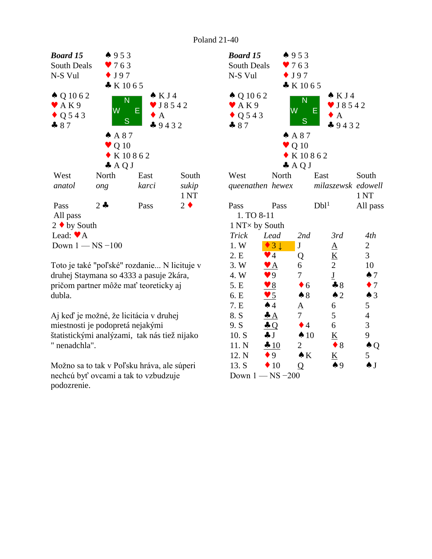

Toto je také "poľské" rozdanie... N licituje v druhej Staymana so 4333 a pasuje 2kára, pričom partner môže mať teoreticky aj dubla.

Aj keď je možné, že licitácia v druhej miestnosti je podopretá nejakými štatistickými analýzami, tak nás tiež nijako " nenadchla".

Možno sa to tak v Poľsku hráva, ale súperi nechcú byť ovcami a tak to vzbudzuje podozrenie.

| <b>Board 15</b>           |                           | 4953                         |                          |                    |  |
|---------------------------|---------------------------|------------------------------|--------------------------|--------------------|--|
| South Deals               |                           | 9763                         |                          |                    |  |
| N-S Vul                   |                           | $\bullet$ J97                |                          |                    |  |
|                           |                           | K1065                        |                          |                    |  |
| $\triangle Q 10 62$       |                           |                              | $\triangle$ KJ4          |                    |  |
| $\blacktriangleright$ AK9 |                           | N                            | $\bullet$ J8542          |                    |  |
| $\bullet$ Q 543           |                           | $\overline{\textsf{W}}$<br>E | $\bullet$ A              |                    |  |
| $-87$                     |                           | S                            | $-9432$                  |                    |  |
|                           |                           | A87                          |                          |                    |  |
|                           |                           | $\blacktriangledown Q$ 10    |                          |                    |  |
|                           |                           | $\bullet$ K 10862            |                          |                    |  |
|                           |                           | $\clubsuit$ AQJ              |                          |                    |  |
| West                      | North                     | East                         |                          | South              |  |
|                           | queenathen hewex          |                              |                          | milaszewsk edowell |  |
|                           |                           |                              |                          | 1 <sub>NT</sub>    |  |
| Pass                      | Pass                      | Dbl <sup>1</sup>             |                          | All pass           |  |
| 1. TO 8-11                |                           |                              |                          |                    |  |
| 1 NT × by South           |                           |                              |                          |                    |  |
| <b>Trick</b>              | Lead                      | 2nd                          | 3rd                      | 4th                |  |
| 1. W                      | 3 <sup>1</sup>            | $\mathbf J$                  | $\underline{A}$          | 2                  |  |
| 2. E                      | $\blacktriangledown$ 4    | Q                            | $\underline{K}$          | 3                  |  |
| 3. W                      | $\mathbf{v}$ $\mathbf{A}$ | 6                            | $\overline{2}$           | 10                 |  |
| 4. W                      | $\blacktriangledown 9$    | 7                            | $\underline{\mathbf{J}}$ | $\spadesuit$ 7     |  |
| 5. E                      | $\bullet$ 8               | $\bullet$ 6                  | $\clubsuit 8$            | $\bullet$ 7        |  |
| 6. E                      | <u>v 5</u>                | $\clubsuit 8$                | $\triangle$ 2            | $\spadesuit$ 3     |  |
| 7. E                      | $\spadesuit$ 4            | ${\underline{\rm A}}$        | 6                        | 5                  |  |
| 8. S                      | $\triangleq$              | 7                            | 5                        | $\overline{4}$     |  |
| 9. S                      | $\triangle Q$             | $\bullet$ 4                  | 6                        | 3                  |  |
| 10. S                     | $\clubsuit$ J             | $\spadesuit$ 10              | $\underline{\mathbf{K}}$ | 9                  |  |
| 11. N                     | $\div 10$                 | 2                            | $\bullet$ 8              | $\clubsuit Q$      |  |
| 12. N                     | $\bullet$ 9               | $\bullet K$                  | $\underline{\mathbf{K}}$ | 5                  |  |
| 13. S                     | $\div 10$                 | Q                            | $\clubsuit$ 9            | $\spadesuit$ J     |  |
|                           | Down $1$ — $\rm NS$ –200  |                              |                          |                    |  |